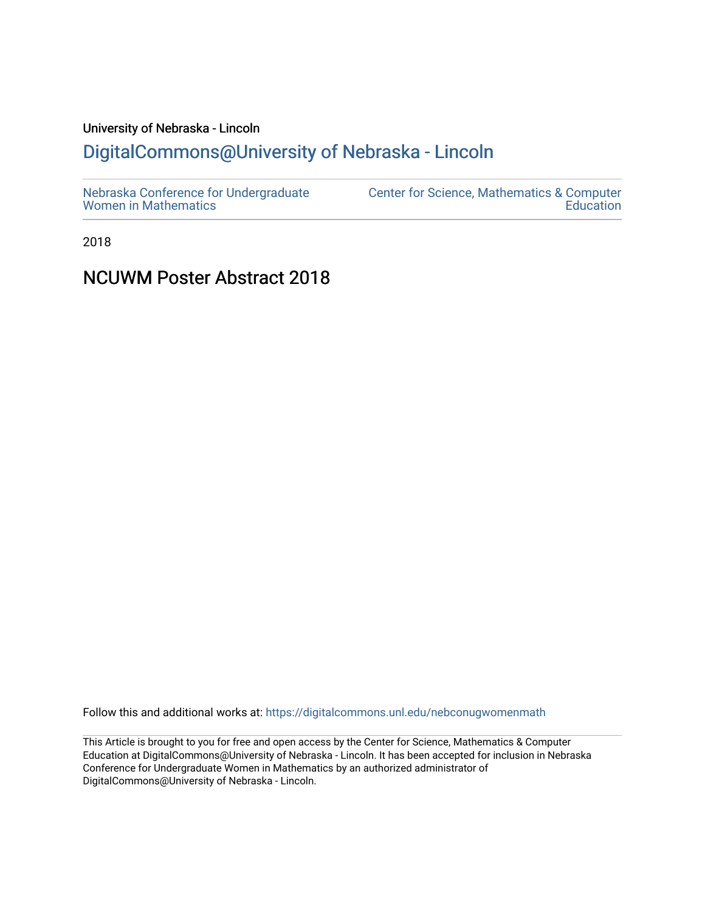# University of Nebraska - Lincoln [DigitalCommons@University of Nebraska - Lincoln](https://digitalcommons.unl.edu/)

2018

# NCUWM Poster Abstract 2018

Follow this and additional works at: [https://digitalcommons.unl.edu/nebconugwomenmath](https://digitalcommons.unl.edu/nebconugwomenmath?utm_source=digitalcommons.unl.edu%2Fnebconugwomenmath%2F7&utm_medium=PDF&utm_campaign=PDFCoverPages)

This Article is brought to you for free and open access by the Center for Science, Mathematics & Computer Education at DigitalCommons@University of Nebraska - Lincoln. It has been accepted for inclusion in Nebraska Conference for Undergraduate Women in Mathematics by an authorized administrator of DigitalCommons@University of Nebraska - Lincoln.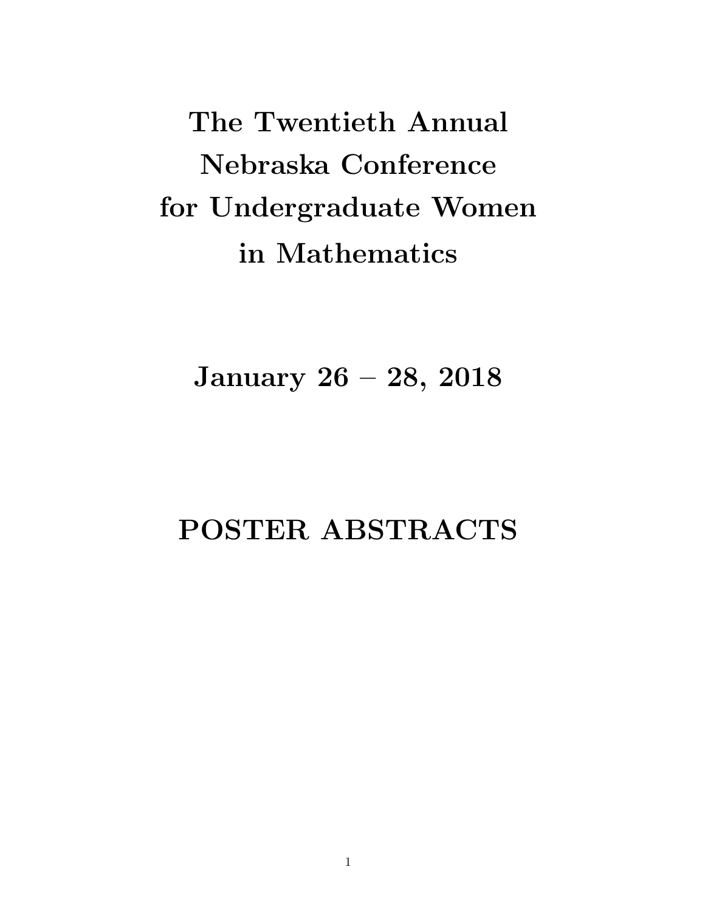The Twentieth Annual Nebraska Conference for Undergraduate Women in Mathematics

January 26 – 28, 2018

# POSTER ABSTRACTS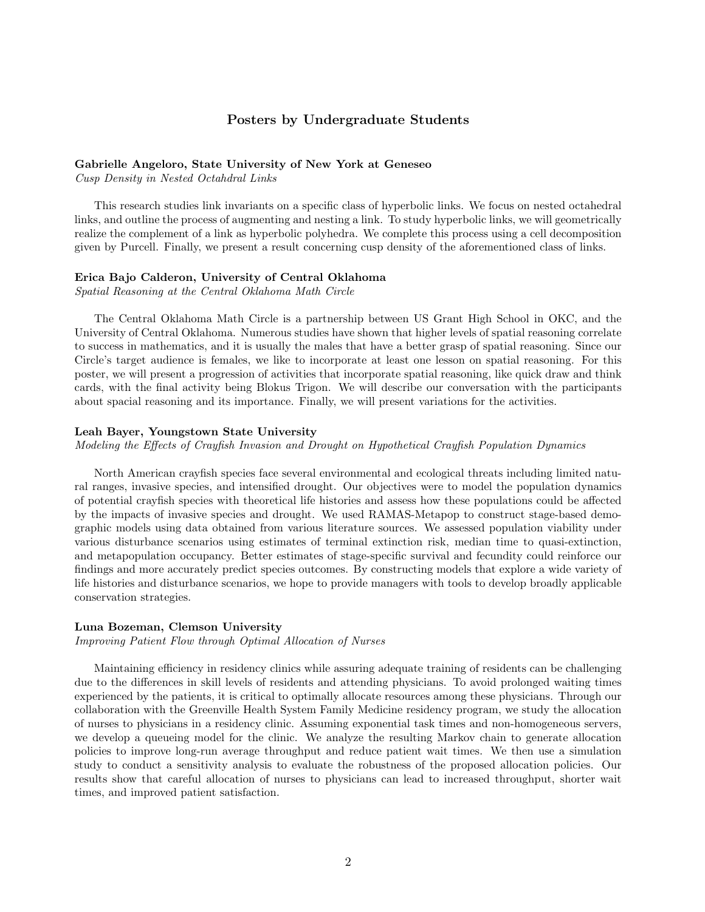# Posters by Undergraduate Students

# Gabrielle Angeloro, State University of New York at Geneseo

Cusp Density in Nested Octahdral Links

This research studies link invariants on a specific class of hyperbolic links. We focus on nested octahedral links, and outline the process of augmenting and nesting a link. To study hyperbolic links, we will geometrically realize the complement of a link as hyperbolic polyhedra. We complete this process using a cell decomposition given by Purcell. Finally, we present a result concerning cusp density of the aforementioned class of links.

#### Erica Bajo Calderon, University of Central Oklahoma

Spatial Reasoning at the Central Oklahoma Math Circle

The Central Oklahoma Math Circle is a partnership between US Grant High School in OKC, and the University of Central Oklahoma. Numerous studies have shown that higher levels of spatial reasoning correlate to success in mathematics, and it is usually the males that have a better grasp of spatial reasoning. Since our Circle's target audience is females, we like to incorporate at least one lesson on spatial reasoning. For this poster, we will present a progression of activities that incorporate spatial reasoning, like quick draw and think cards, with the final activity being Blokus Trigon. We will describe our conversation with the participants about spacial reasoning and its importance. Finally, we will present variations for the activities.

# Leah Bayer, Youngstown State University

Modeling the Effects of Crayfish Invasion and Drought on Hypothetical Crayfish Population Dynamics

North American crayfish species face several environmental and ecological threats including limited natural ranges, invasive species, and intensified drought. Our objectives were to model the population dynamics of potential crayfish species with theoretical life histories and assess how these populations could be affected by the impacts of invasive species and drought. We used RAMAS-Metapop to construct stage-based demographic models using data obtained from various literature sources. We assessed population viability under various disturbance scenarios using estimates of terminal extinction risk, median time to quasi-extinction, and metapopulation occupancy. Better estimates of stage-specific survival and fecundity could reinforce our findings and more accurately predict species outcomes. By constructing models that explore a wide variety of life histories and disturbance scenarios, we hope to provide managers with tools to develop broadly applicable conservation strategies.

# Luna Bozeman, Clemson University

Improving Patient Flow through Optimal Allocation of Nurses

Maintaining efficiency in residency clinics while assuring adequate training of residents can be challenging due to the differences in skill levels of residents and attending physicians. To avoid prolonged waiting times experienced by the patients, it is critical to optimally allocate resources among these physicians. Through our collaboration with the Greenville Health System Family Medicine residency program, we study the allocation of nurses to physicians in a residency clinic. Assuming exponential task times and non-homogeneous servers, we develop a queueing model for the clinic. We analyze the resulting Markov chain to generate allocation policies to improve long-run average throughput and reduce patient wait times. We then use a simulation study to conduct a sensitivity analysis to evaluate the robustness of the proposed allocation policies. Our results show that careful allocation of nurses to physicians can lead to increased throughput, shorter wait times, and improved patient satisfaction.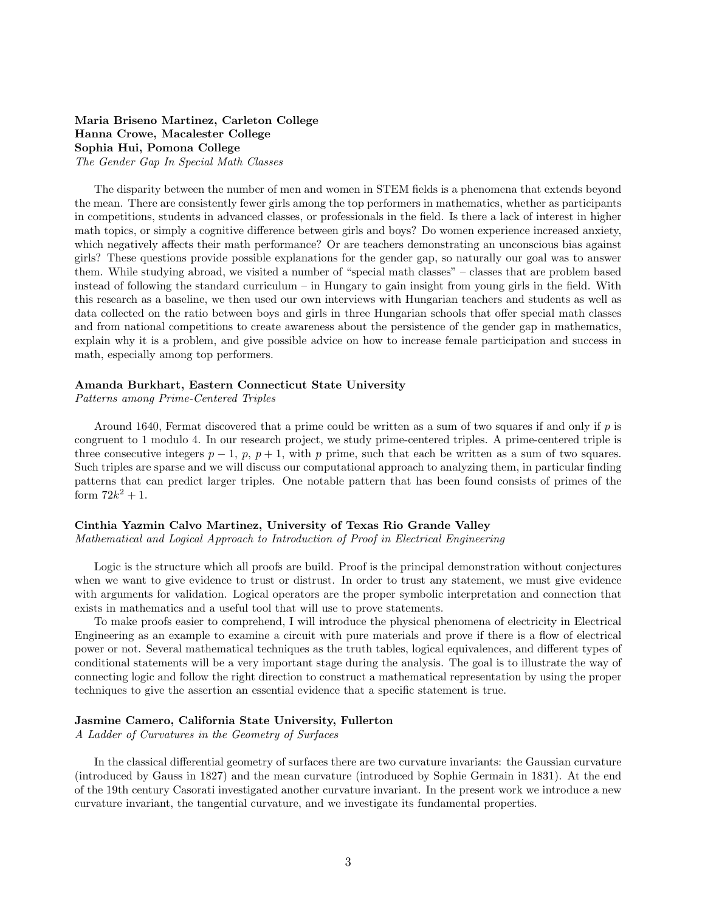# Maria Briseno Martinez, Carleton College Hanna Crowe, Macalester College Sophia Hui, Pomona College The Gender Gap In Special Math Classes

The disparity between the number of men and women in STEM fields is a phenomena that extends beyond the mean. There are consistently fewer girls among the top performers in mathematics, whether as participants in competitions, students in advanced classes, or professionals in the field. Is there a lack of interest in higher math topics, or simply a cognitive difference between girls and boys? Do women experience increased anxiety, which negatively affects their math performance? Or are teachers demonstrating an unconscious bias against girls? These questions provide possible explanations for the gender gap, so naturally our goal was to answer them. While studying abroad, we visited a number of "special math classes" – classes that are problem based instead of following the standard curriculum – in Hungary to gain insight from young girls in the field. With this research as a baseline, we then used our own interviews with Hungarian teachers and students as well as data collected on the ratio between boys and girls in three Hungarian schools that offer special math classes and from national competitions to create awareness about the persistence of the gender gap in mathematics, explain why it is a problem, and give possible advice on how to increase female participation and success in math, especially among top performers.

# Amanda Burkhart, Eastern Connecticut State University

Patterns among Prime-Centered Triples

Around 1640, Fermat discovered that a prime could be written as a sum of two squares if and only if  $p$  is congruent to 1 modulo 4. In our research project, we study prime-centered triples. A prime-centered triple is three consecutive integers  $p-1$ ,  $p$ ,  $p+1$ , with p prime, such that each be written as a sum of two squares. Such triples are sparse and we will discuss our computational approach to analyzing them, in particular finding patterns that can predict larger triples. One notable pattern that has been found consists of primes of the form  $72k^2 + 1$ .

# Cinthia Yazmin Calvo Martinez, University of Texas Rio Grande Valley

Mathematical and Logical Approach to Introduction of Proof in Electrical Engineering

Logic is the structure which all proofs are build. Proof is the principal demonstration without conjectures when we want to give evidence to trust or distrust. In order to trust any statement, we must give evidence with arguments for validation. Logical operators are the proper symbolic interpretation and connection that exists in mathematics and a useful tool that will use to prove statements.

To make proofs easier to comprehend, I will introduce the physical phenomena of electricity in Electrical Engineering as an example to examine a circuit with pure materials and prove if there is a flow of electrical power or not. Several mathematical techniques as the truth tables, logical equivalences, and different types of conditional statements will be a very important stage during the analysis. The goal is to illustrate the way of connecting logic and follow the right direction to construct a mathematical representation by using the proper techniques to give the assertion an essential evidence that a specific statement is true.

#### Jasmine Camero, California State University, Fullerton

A Ladder of Curvatures in the Geometry of Surfaces

In the classical differential geometry of surfaces there are two curvature invariants: the Gaussian curvature (introduced by Gauss in 1827) and the mean curvature (introduced by Sophie Germain in 1831). At the end of the 19th century Casorati investigated another curvature invariant. In the present work we introduce a new curvature invariant, the tangential curvature, and we investigate its fundamental properties.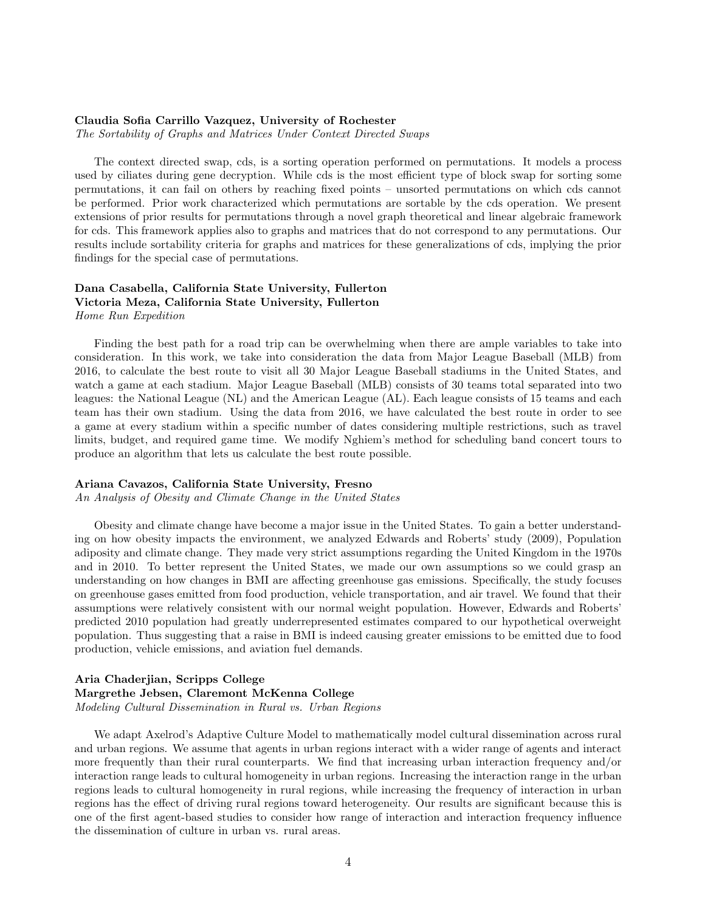# Claudia Sofia Carrillo Vazquez, University of Rochester

The Sortability of Graphs and Matrices Under Context Directed Swaps

The context directed swap, cds, is a sorting operation performed on permutations. It models a process used by ciliates during gene decryption. While cds is the most efficient type of block swap for sorting some permutations, it can fail on others by reaching fixed points – unsorted permutations on which cds cannot be performed. Prior work characterized which permutations are sortable by the cds operation. We present extensions of prior results for permutations through a novel graph theoretical and linear algebraic framework for cds. This framework applies also to graphs and matrices that do not correspond to any permutations. Our results include sortability criteria for graphs and matrices for these generalizations of cds, implying the prior findings for the special case of permutations.

# Dana Casabella, California State University, Fullerton Victoria Meza, California State University, Fullerton Home Run Expedition

Finding the best path for a road trip can be overwhelming when there are ample variables to take into consideration. In this work, we take into consideration the data from Major League Baseball (MLB) from 2016, to calculate the best route to visit all 30 Major League Baseball stadiums in the United States, and watch a game at each stadium. Major League Baseball (MLB) consists of 30 teams total separated into two leagues: the National League (NL) and the American League (AL). Each league consists of 15 teams and each team has their own stadium. Using the data from 2016, we have calculated the best route in order to see a game at every stadium within a specific number of dates considering multiple restrictions, such as travel limits, budget, and required game time. We modify Nghiem's method for scheduling band concert tours to produce an algorithm that lets us calculate the best route possible.

# Ariana Cavazos, California State University, Fresno

An Analysis of Obesity and Climate Change in the United States

Obesity and climate change have become a major issue in the United States. To gain a better understanding on how obesity impacts the environment, we analyzed Edwards and Roberts' study (2009), Population adiposity and climate change. They made very strict assumptions regarding the United Kingdom in the 1970s and in 2010. To better represent the United States, we made our own assumptions so we could grasp an understanding on how changes in BMI are affecting greenhouse gas emissions. Specifically, the study focuses on greenhouse gases emitted from food production, vehicle transportation, and air travel. We found that their assumptions were relatively consistent with our normal weight population. However, Edwards and Roberts' predicted 2010 population had greatly underrepresented estimates compared to our hypothetical overweight population. Thus suggesting that a raise in BMI is indeed causing greater emissions to be emitted due to food production, vehicle emissions, and aviation fuel demands.

# Aria Chaderjian, Scripps College Margrethe Jebsen, Claremont McKenna College Modeling Cultural Dissemination in Rural vs. Urban Regions

We adapt Axelrod's Adaptive Culture Model to mathematically model cultural dissemination across rural and urban regions. We assume that agents in urban regions interact with a wider range of agents and interact more frequently than their rural counterparts. We find that increasing urban interaction frequency and/or interaction range leads to cultural homogeneity in urban regions. Increasing the interaction range in the urban regions leads to cultural homogeneity in rural regions, while increasing the frequency of interaction in urban regions has the effect of driving rural regions toward heterogeneity. Our results are significant because this is one of the first agent-based studies to consider how range of interaction and interaction frequency influence the dissemination of culture in urban vs. rural areas.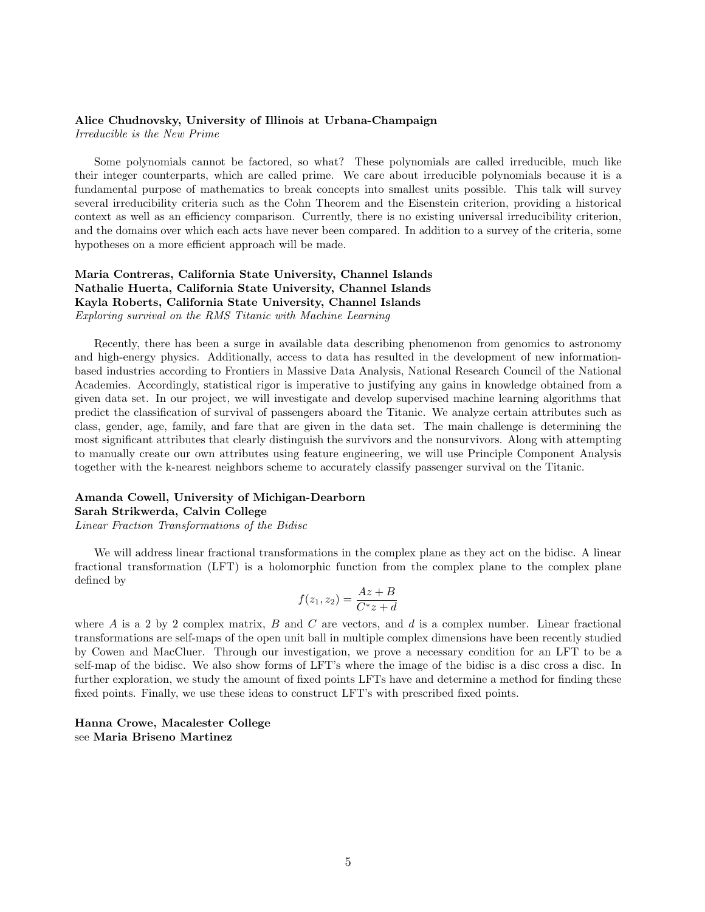## Alice Chudnovsky, University of Illinois at Urbana-Champaign

Irreducible is the New Prime

Some polynomials cannot be factored, so what? These polynomials are called irreducible, much like their integer counterparts, which are called prime. We care about irreducible polynomials because it is a fundamental purpose of mathematics to break concepts into smallest units possible. This talk will survey several irreducibility criteria such as the Cohn Theorem and the Eisenstein criterion, providing a historical context as well as an efficiency comparison. Currently, there is no existing universal irreducibility criterion, and the domains over which each acts have never been compared. In addition to a survey of the criteria, some hypotheses on a more efficient approach will be made.

# Maria Contreras, California State University, Channel Islands Nathalie Huerta, California State University, Channel Islands Kayla Roberts, California State University, Channel Islands Exploring survival on the RMS Titanic with Machine Learning

Recently, there has been a surge in available data describing phenomenon from genomics to astronomy and high-energy physics. Additionally, access to data has resulted in the development of new informationbased industries according to Frontiers in Massive Data Analysis, National Research Council of the National Academies. Accordingly, statistical rigor is imperative to justifying any gains in knowledge obtained from a given data set. In our project, we will investigate and develop supervised machine learning algorithms that predict the classification of survival of passengers aboard the Titanic. We analyze certain attributes such as class, gender, age, family, and fare that are given in the data set. The main challenge is determining the most significant attributes that clearly distinguish the survivors and the nonsurvivors. Along with attempting to manually create our own attributes using feature engineering, we will use Principle Component Analysis together with the k-nearest neighbors scheme to accurately classify passenger survival on the Titanic.

# Amanda Cowell, University of Michigan-Dearborn Sarah Strikwerda, Calvin College

Linear Fraction Transformations of the Bidisc

We will address linear fractional transformations in the complex plane as they act on the bidisc. A linear fractional transformation (LFT) is a holomorphic function from the complex plane to the complex plane defined by

$$
f(z_1, z_2) = \frac{Az + B}{C^*z + d}
$$

where A is a 2 by 2 complex matrix, B and C are vectors, and  $d$  is a complex number. Linear fractional transformations are self-maps of the open unit ball in multiple complex dimensions have been recently studied by Cowen and MacCluer. Through our investigation, we prove a necessary condition for an LFT to be a self-map of the bidisc. We also show forms of LFT's where the image of the bidisc is a disc cross a disc. In further exploration, we study the amount of fixed points LFTs have and determine a method for finding these fixed points. Finally, we use these ideas to construct LFT's with prescribed fixed points.

Hanna Crowe, Macalester College see Maria Briseno Martinez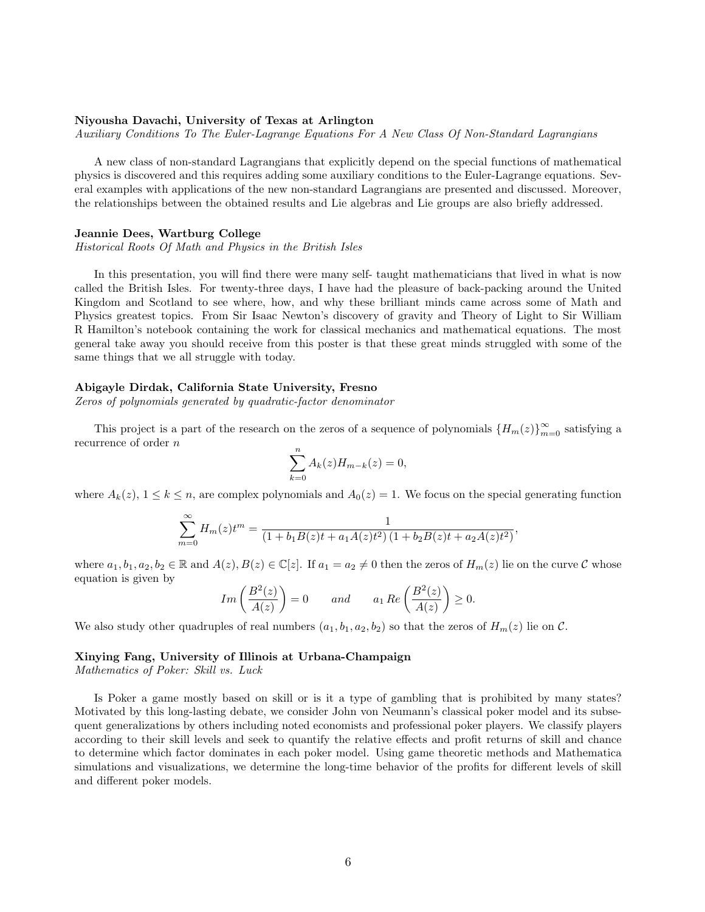#### Niyousha Davachi, University of Texas at Arlington

Auxiliary Conditions To The Euler-Lagrange Equations For A New Class Of Non-Standard Lagrangians

A new class of non-standard Lagrangians that explicitly depend on the special functions of mathematical physics is discovered and this requires adding some auxiliary conditions to the Euler-Lagrange equations. Several examples with applications of the new non-standard Lagrangians are presented and discussed. Moreover, the relationships between the obtained results and Lie algebras and Lie groups are also briefly addressed.

#### Jeannie Dees, Wartburg College

Historical Roots Of Math and Physics in the British Isles

In this presentation, you will find there were many self- taught mathematicians that lived in what is now called the British Isles. For twenty-three days, I have had the pleasure of back-packing around the United Kingdom and Scotland to see where, how, and why these brilliant minds came across some of Math and Physics greatest topics. From Sir Isaac Newton's discovery of gravity and Theory of Light to Sir William R Hamilton's notebook containing the work for classical mechanics and mathematical equations. The most general take away you should receive from this poster is that these great minds struggled with some of the same things that we all struggle with today.

# Abigayle Dirdak, California State University, Fresno

Zeros of polynomials generated by quadratic-factor denominator

This project is a part of the research on the zeros of a sequence of polynomials  ${H_m(z)}_{m=0}^{\infty}$  satisfying a recurrence of order n

$$
\sum_{k=0}^{n} A_k(z) H_{m-k}(z) = 0,
$$

where  $A_k(z)$ ,  $1 \leq k \leq n$ , are complex polynomials and  $A_0(z) = 1$ . We focus on the special generating function

$$
\sum_{m=0}^{\infty} H_m(z)t^m = \frac{1}{(1+b_1B(z)t+a_1A(z)t^2)(1+b_2B(z)t+a_2A(z)t^2)},
$$

where  $a_1, b_1, a_2, b_2 \in \mathbb{R}$  and  $A(z), B(z) \in \mathbb{C}[z]$ . If  $a_1 = a_2 \neq 0$  then the zeros of  $H_m(z)$  lie on the curve  $\mathcal C$  whose equation is given by

$$
Im\left(\frac{B^2(z)}{A(z)}\right) = 0
$$
 and  $a_1 Re\left(\frac{B^2(z)}{A(z)}\right) \ge 0.$ 

We also study other quadruples of real numbers  $(a_1, b_1, a_2, b_2)$  so that the zeros of  $H_m(z)$  lie on C.

# Xinying Fang, University of Illinois at Urbana-Champaign

Mathematics of Poker: Skill vs. Luck

Is Poker a game mostly based on skill or is it a type of gambling that is prohibited by many states? Motivated by this long-lasting debate, we consider John von Neumann's classical poker model and its subsequent generalizations by others including noted economists and professional poker players. We classify players according to their skill levels and seek to quantify the relative effects and profit returns of skill and chance to determine which factor dominates in each poker model. Using game theoretic methods and Mathematica simulations and visualizations, we determine the long-time behavior of the profits for different levels of skill and different poker models.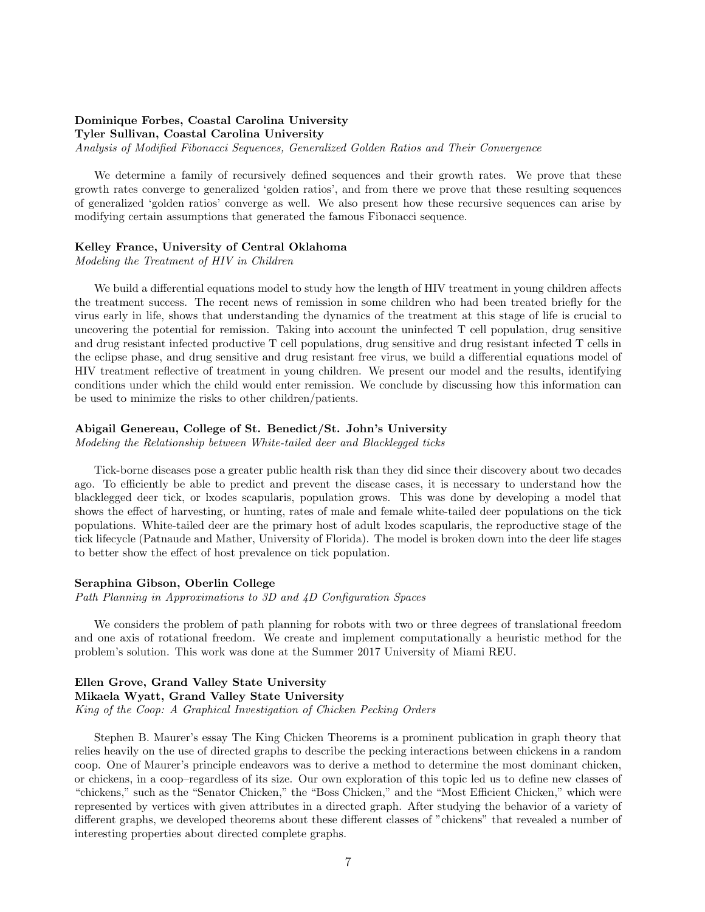# Dominique Forbes, Coastal Carolina University

Tyler Sullivan, Coastal Carolina University

Analysis of Modified Fibonacci Sequences, Generalized Golden Ratios and Their Convergence

We determine a family of recursively defined sequences and their growth rates. We prove that these growth rates converge to generalized 'golden ratios', and from there we prove that these resulting sequences of generalized 'golden ratios' converge as well. We also present how these recursive sequences can arise by modifying certain assumptions that generated the famous Fibonacci sequence.

# Kelley France, University of Central Oklahoma

Modeling the Treatment of HIV in Children

We build a differential equations model to study how the length of HIV treatment in young children affects the treatment success. The recent news of remission in some children who had been treated briefly for the virus early in life, shows that understanding the dynamics of the treatment at this stage of life is crucial to uncovering the potential for remission. Taking into account the uninfected T cell population, drug sensitive and drug resistant infected productive T cell populations, drug sensitive and drug resistant infected T cells in the eclipse phase, and drug sensitive and drug resistant free virus, we build a differential equations model of HIV treatment reflective of treatment in young children. We present our model and the results, identifying conditions under which the child would enter remission. We conclude by discussing how this information can be used to minimize the risks to other children/patients.

# Abigail Genereau, College of St. Benedict/St. John's University

Modeling the Relationship between White-tailed deer and Blacklegged ticks

Tick-borne diseases pose a greater public health risk than they did since their discovery about two decades ago. To efficiently be able to predict and prevent the disease cases, it is necessary to understand how the blacklegged deer tick, or lxodes scapularis, population grows. This was done by developing a model that shows the effect of harvesting, or hunting, rates of male and female white-tailed deer populations on the tick populations. White-tailed deer are the primary host of adult lxodes scapularis, the reproductive stage of the tick lifecycle (Patnaude and Mather, University of Florida). The model is broken down into the deer life stages to better show the effect of host prevalence on tick population.

# Seraphina Gibson, Oberlin College

Path Planning in Approximations to 3D and 4D Configuration Spaces

We considers the problem of path planning for robots with two or three degrees of translational freedom and one axis of rotational freedom. We create and implement computationally a heuristic method for the problem's solution. This work was done at the Summer 2017 University of Miami REU.

Ellen Grove, Grand Valley State University Mikaela Wyatt, Grand Valley State University King of the Coop: A Graphical Investigation of Chicken Pecking Orders

Stephen B. Maurer's essay The King Chicken Theorems is a prominent publication in graph theory that relies heavily on the use of directed graphs to describe the pecking interactions between chickens in a random coop. One of Maurer's principle endeavors was to derive a method to determine the most dominant chicken, or chickens, in a coop–regardless of its size. Our own exploration of this topic led us to define new classes of "chickens," such as the "Senator Chicken," the "Boss Chicken," and the "Most Efficient Chicken," which were represented by vertices with given attributes in a directed graph. After studying the behavior of a variety of different graphs, we developed theorems about these different classes of "chickens" that revealed a number of interesting properties about directed complete graphs.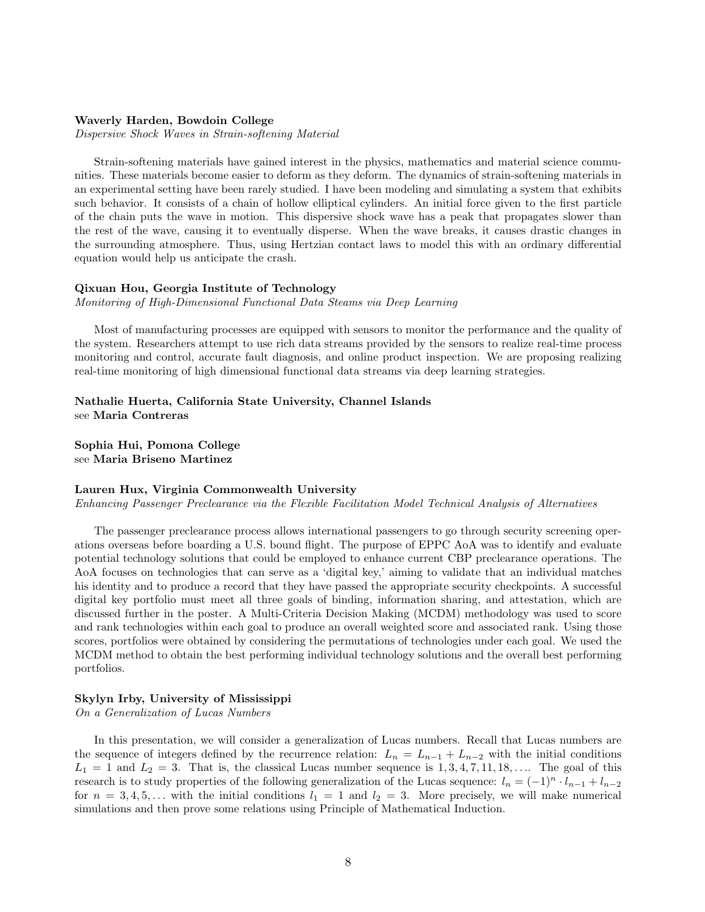# Waverly Harden, Bowdoin College

Dispersive Shock Waves in Strain-softening Material

Strain-softening materials have gained interest in the physics, mathematics and material science communities. These materials become easier to deform as they deform. The dynamics of strain-softening materials in an experimental setting have been rarely studied. I have been modeling and simulating a system that exhibits such behavior. It consists of a chain of hollow elliptical cylinders. An initial force given to the first particle of the chain puts the wave in motion. This dispersive shock wave has a peak that propagates slower than the rest of the wave, causing it to eventually disperse. When the wave breaks, it causes drastic changes in the surrounding atmosphere. Thus, using Hertzian contact laws to model this with an ordinary differential equation would help us anticipate the crash.

#### Qixuan Hou, Georgia Institute of Technology

Monitoring of High-Dimensional Functional Data Steams via Deep Learning

Most of manufacturing processes are equipped with sensors to monitor the performance and the quality of the system. Researchers attempt to use rich data streams provided by the sensors to realize real-time process monitoring and control, accurate fault diagnosis, and online product inspection. We are proposing realizing real-time monitoring of high dimensional functional data streams via deep learning strategies.

Nathalie Huerta, California State University, Channel Islands see Maria Contreras

Sophia Hui, Pomona College see Maria Briseno Martinez

# Lauren Hux, Virginia Commonwealth University

Enhancing Passenger Preclearance via the Flexible Facilitation Model Technical Analysis of Alternatives

The passenger preclearance process allows international passengers to go through security screening operations overseas before boarding a U.S. bound flight. The purpose of EPPC AoA was to identify and evaluate potential technology solutions that could be employed to enhance current CBP preclearance operations. The AoA focuses on technologies that can serve as a 'digital key,' aiming to validate that an individual matches his identity and to produce a record that they have passed the appropriate security checkpoints. A successful digital key portfolio must meet all three goals of binding, information sharing, and attestation, which are discussed further in the poster. A Multi-Criteria Decision Making (MCDM) methodology was used to score and rank technologies within each goal to produce an overall weighted score and associated rank. Using those scores, portfolios were obtained by considering the permutations of technologies under each goal. We used the MCDM method to obtain the best performing individual technology solutions and the overall best performing portfolios.

#### Skylyn Irby, University of Mississippi

On a Generalization of Lucas Numbers

In this presentation, we will consider a generalization of Lucas numbers. Recall that Lucas numbers are the sequence of integers defined by the recurrence relation:  $L_n = L_{n-1} + L_{n-2}$  with the initial conditions  $L_1 = 1$  and  $L_2 = 3$ . That is, the classical Lucas number sequence is 1, 3, 4, 7, 11, 18, .... The goal of this research is to study properties of the following generalization of the Lucas sequence:  $l_n = (-1)^n \cdot l_{n-1} + l_{n-2}$ for  $n = 3, 4, 5, \ldots$  with the initial conditions  $l_1 = 1$  and  $l_2 = 3$ . More precisely, we will make numerical simulations and then prove some relations using Principle of Mathematical Induction.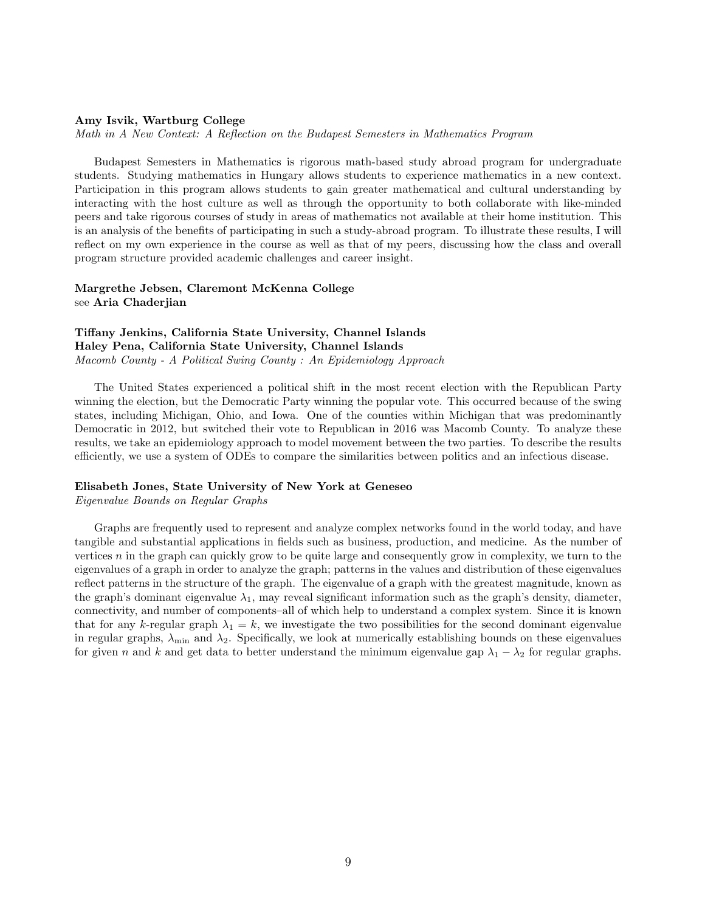#### Amy Isvik, Wartburg College

Math in A New Context: A Reflection on the Budapest Semesters in Mathematics Program

Budapest Semesters in Mathematics is rigorous math-based study abroad program for undergraduate students. Studying mathematics in Hungary allows students to experience mathematics in a new context. Participation in this program allows students to gain greater mathematical and cultural understanding by interacting with the host culture as well as through the opportunity to both collaborate with like-minded peers and take rigorous courses of study in areas of mathematics not available at their home institution. This is an analysis of the benefits of participating in such a study-abroad program. To illustrate these results, I will reflect on my own experience in the course as well as that of my peers, discussing how the class and overall program structure provided academic challenges and career insight.

# Margrethe Jebsen, Claremont McKenna College see Aria Chaderjian

# Tiffany Jenkins, California State University, Channel Islands Haley Pena, California State University, Channel Islands Macomb County - A Political Swing County : An Epidemiology Approach

The United States experienced a political shift in the most recent election with the Republican Party winning the election, but the Democratic Party winning the popular vote. This occurred because of the swing states, including Michigan, Ohio, and Iowa. One of the counties within Michigan that was predominantly Democratic in 2012, but switched their vote to Republican in 2016 was Macomb County. To analyze these results, we take an epidemiology approach to model movement between the two parties. To describe the results efficiently, we use a system of ODEs to compare the similarities between politics and an infectious disease.

#### Elisabeth Jones, State University of New York at Geneseo

Eigenvalue Bounds on Regular Graphs

Graphs are frequently used to represent and analyze complex networks found in the world today, and have tangible and substantial applications in fields such as business, production, and medicine. As the number of vertices  $n$  in the graph can quickly grow to be quite large and consequently grow in complexity, we turn to the eigenvalues of a graph in order to analyze the graph; patterns in the values and distribution of these eigenvalues reflect patterns in the structure of the graph. The eigenvalue of a graph with the greatest magnitude, known as the graph's dominant eigenvalue  $\lambda_1$ , may reveal significant information such as the graph's density, diameter, connectivity, and number of components–all of which help to understand a complex system. Since it is known that for any k-regular graph  $\lambda_1 = k$ , we investigate the two possibilities for the second dominant eigenvalue in regular graphs,  $\lambda_{\min}$  and  $\lambda_2$ . Specifically, we look at numerically establishing bounds on these eigenvalues for given n and k and get data to better understand the minimum eigenvalue gap  $\lambda_1 - \lambda_2$  for regular graphs.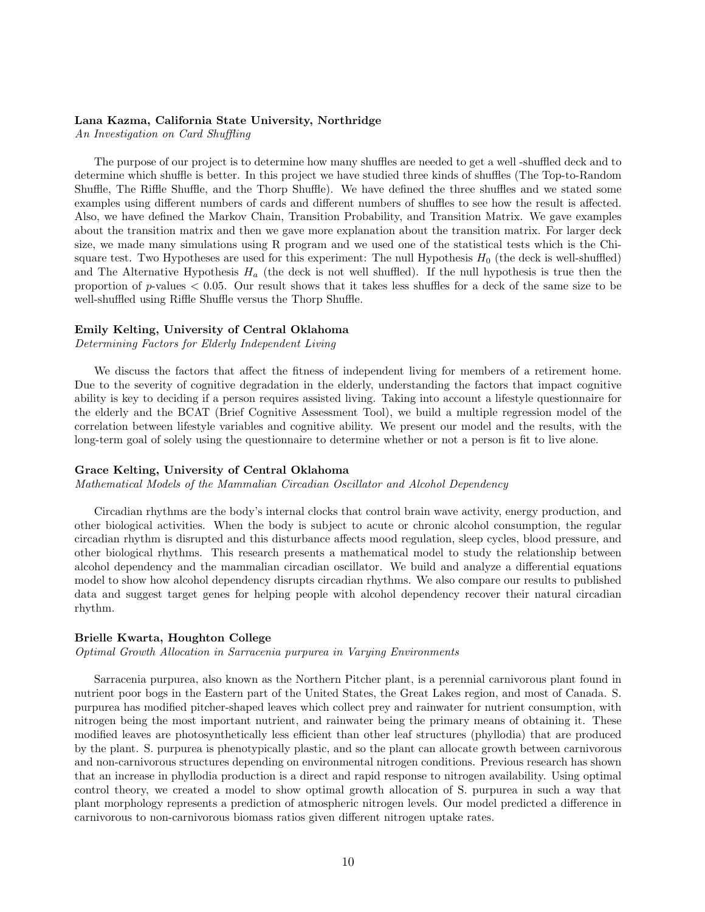#### Lana Kazma, California State University, Northridge

An Investigation on Card Shuffling

The purpose of our project is to determine how many shuffles are needed to get a well -shuffled deck and to determine which shuffle is better. In this project we have studied three kinds of shuffles (The Top-to-Random Shuffle, The Riffle Shuffle, and the Thorp Shuffle). We have defined the three shuffles and we stated some examples using different numbers of cards and different numbers of shuffles to see how the result is affected. Also, we have defined the Markov Chain, Transition Probability, and Transition Matrix. We gave examples about the transition matrix and then we gave more explanation about the transition matrix. For larger deck size, we made many simulations using R program and we used one of the statistical tests which is the Chisquare test. Two Hypotheses are used for this experiment: The null Hypothesis  $H_0$  (the deck is well-shuffled) and The Alternative Hypothesis  $H_a$  (the deck is not well shuffled). If the null hypothesis is true then the proportion of  $p$ -values  $< 0.05$ . Our result shows that it takes less shuffles for a deck of the same size to be well-shuffled using Riffle Shuffle versus the Thorp Shuffle.

### Emily Kelting, University of Central Oklahoma

Determining Factors for Elderly Independent Living

We discuss the factors that affect the fitness of independent living for members of a retirement home. Due to the severity of cognitive degradation in the elderly, understanding the factors that impact cognitive ability is key to deciding if a person requires assisted living. Taking into account a lifestyle questionnaire for the elderly and the BCAT (Brief Cognitive Assessment Tool), we build a multiple regression model of the correlation between lifestyle variables and cognitive ability. We present our model and the results, with the long-term goal of solely using the questionnaire to determine whether or not a person is fit to live alone.

#### Grace Kelting, University of Central Oklahoma

Mathematical Models of the Mammalian Circadian Oscillator and Alcohol Dependency

Circadian rhythms are the body's internal clocks that control brain wave activity, energy production, and other biological activities. When the body is subject to acute or chronic alcohol consumption, the regular circadian rhythm is disrupted and this disturbance affects mood regulation, sleep cycles, blood pressure, and other biological rhythms. This research presents a mathematical model to study the relationship between alcohol dependency and the mammalian circadian oscillator. We build and analyze a differential equations model to show how alcohol dependency disrupts circadian rhythms. We also compare our results to published data and suggest target genes for helping people with alcohol dependency recover their natural circadian rhythm.

## Brielle Kwarta, Houghton College

Optimal Growth Allocation in Sarracenia purpurea in Varying Environments

Sarracenia purpurea, also known as the Northern Pitcher plant, is a perennial carnivorous plant found in nutrient poor bogs in the Eastern part of the United States, the Great Lakes region, and most of Canada. S. purpurea has modified pitcher-shaped leaves which collect prey and rainwater for nutrient consumption, with nitrogen being the most important nutrient, and rainwater being the primary means of obtaining it. These modified leaves are photosynthetically less efficient than other leaf structures (phyllodia) that are produced by the plant. S. purpurea is phenotypically plastic, and so the plant can allocate growth between carnivorous and non-carnivorous structures depending on environmental nitrogen conditions. Previous research has shown that an increase in phyllodia production is a direct and rapid response to nitrogen availability. Using optimal control theory, we created a model to show optimal growth allocation of S. purpurea in such a way that plant morphology represents a prediction of atmospheric nitrogen levels. Our model predicted a difference in carnivorous to non-carnivorous biomass ratios given different nitrogen uptake rates.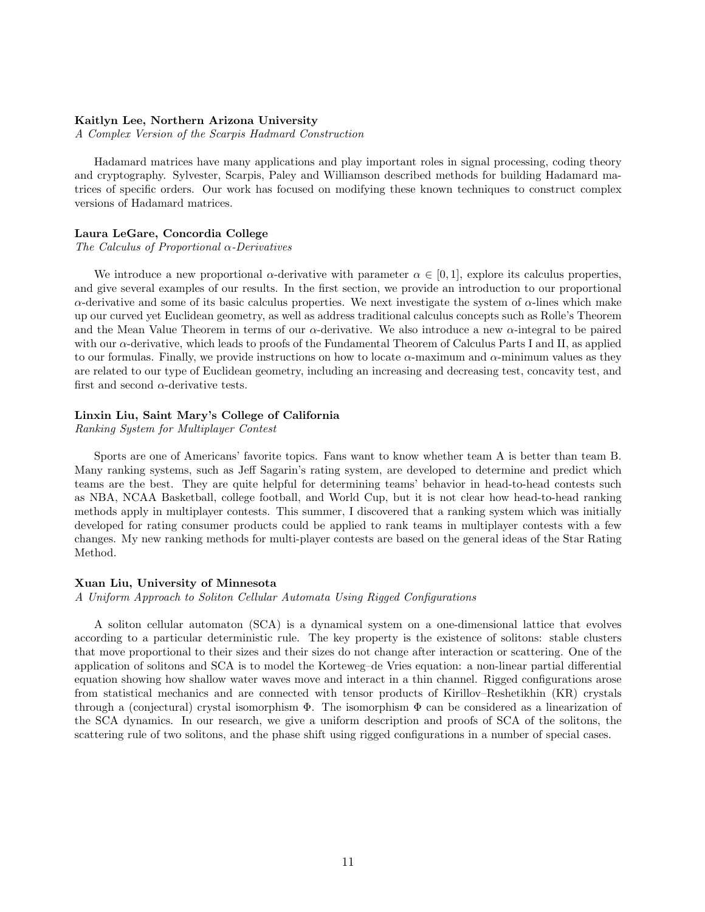# Kaitlyn Lee, Northern Arizona University

A Complex Version of the Scarpis Hadmard Construction

Hadamard matrices have many applications and play important roles in signal processing, coding theory and cryptography. Sylvester, Scarpis, Paley and Williamson described methods for building Hadamard matrices of specific orders. Our work has focused on modifying these known techniques to construct complex versions of Hadamard matrices.

# Laura LeGare, Concordia College

The Calculus of Proportional  $\alpha$ -Derivatives

We introduce a new proportional  $\alpha$ -derivative with parameter  $\alpha \in [0, 1]$ , explore its calculus properties, and give several examples of our results. In the first section, we provide an introduction to our proportional  $\alpha$ -derivative and some of its basic calculus properties. We next investigate the system of  $\alpha$ -lines which make up our curved yet Euclidean geometry, as well as address traditional calculus concepts such as Rolle's Theorem and the Mean Value Theorem in terms of our  $\alpha$ -derivative. We also introduce a new  $\alpha$ -integral to be paired with our  $\alpha$ -derivative, which leads to proofs of the Fundamental Theorem of Calculus Parts I and II, as applied to our formulas. Finally, we provide instructions on how to locate  $\alpha$ -maximum and  $\alpha$ -minimum values as they are related to our type of Euclidean geometry, including an increasing and decreasing test, concavity test, and first and second  $\alpha$ -derivative tests.

#### Linxin Liu, Saint Mary's College of California

Ranking System for Multiplayer Contest

Sports are one of Americans' favorite topics. Fans want to know whether team A is better than team B. Many ranking systems, such as Jeff Sagarin's rating system, are developed to determine and predict which teams are the best. They are quite helpful for determining teams' behavior in head-to-head contests such as NBA, NCAA Basketball, college football, and World Cup, but it is not clear how head-to-head ranking methods apply in multiplayer contests. This summer, I discovered that a ranking system which was initially developed for rating consumer products could be applied to rank teams in multiplayer contests with a few changes. My new ranking methods for multi-player contests are based on the general ideas of the Star Rating Method.

#### Xuan Liu, University of Minnesota

A Uniform Approach to Soliton Cellular Automata Using Rigged Configurations

A soliton cellular automaton (SCA) is a dynamical system on a one-dimensional lattice that evolves according to a particular deterministic rule. The key property is the existence of solitons: stable clusters that move proportional to their sizes and their sizes do not change after interaction or scattering. One of the application of solitons and SCA is to model the Korteweg–de Vries equation: a non-linear partial differential equation showing how shallow water waves move and interact in a thin channel. Rigged configurations arose from statistical mechanics and are connected with tensor products of Kirillov–Reshetikhin (KR) crystals through a (conjectural) crystal isomorphism  $\Phi$ . The isomorphism  $\Phi$  can be considered as a linearization of the SCA dynamics. In our research, we give a uniform description and proofs of SCA of the solitons, the scattering rule of two solitons, and the phase shift using rigged configurations in a number of special cases.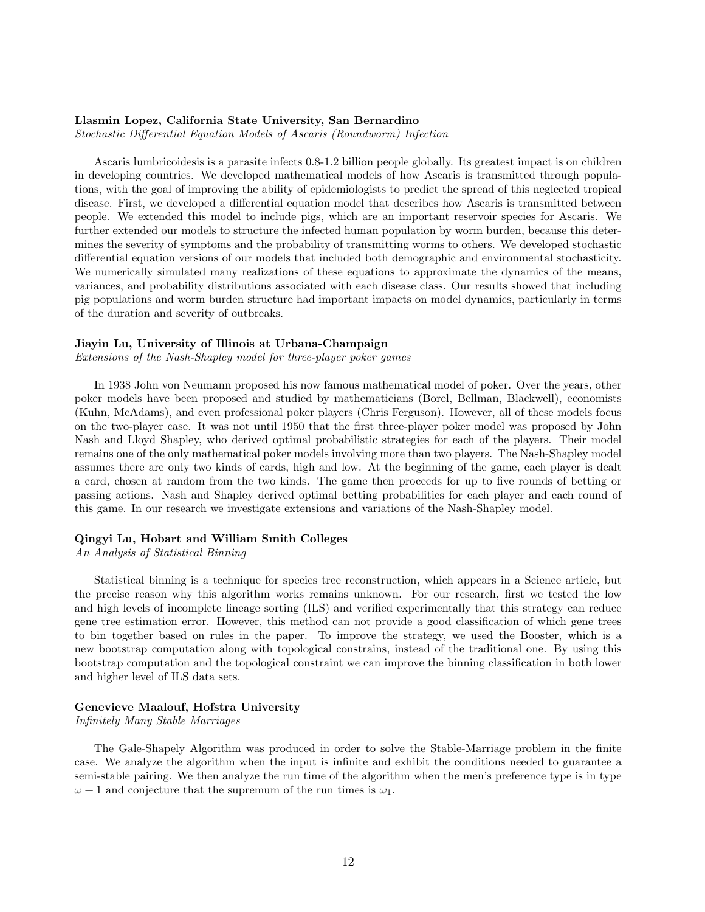# Llasmin Lopez, California State University, San Bernardino

Stochastic Differential Equation Models of Ascaris (Roundworm) Infection

Ascaris lumbricoidesis is a parasite infects 0.8-1.2 billion people globally. Its greatest impact is on children in developing countries. We developed mathematical models of how Ascaris is transmitted through populations, with the goal of improving the ability of epidemiologists to predict the spread of this neglected tropical disease. First, we developed a differential equation model that describes how Ascaris is transmitted between people. We extended this model to include pigs, which are an important reservoir species for Ascaris. We further extended our models to structure the infected human population by worm burden, because this determines the severity of symptoms and the probability of transmitting worms to others. We developed stochastic differential equation versions of our models that included both demographic and environmental stochasticity. We numerically simulated many realizations of these equations to approximate the dynamics of the means, variances, and probability distributions associated with each disease class. Our results showed that including pig populations and worm burden structure had important impacts on model dynamics, particularly in terms of the duration and severity of outbreaks.

# Jiayin Lu, University of Illinois at Urbana-Champaign

Extensions of the Nash-Shapley model for three-player poker games

In 1938 John von Neumann proposed his now famous mathematical model of poker. Over the years, other poker models have been proposed and studied by mathematicians (Borel, Bellman, Blackwell), economists (Kuhn, McAdams), and even professional poker players (Chris Ferguson). However, all of these models focus on the two-player case. It was not until 1950 that the first three-player poker model was proposed by John Nash and Lloyd Shapley, who derived optimal probabilistic strategies for each of the players. Their model remains one of the only mathematical poker models involving more than two players. The Nash-Shapley model assumes there are only two kinds of cards, high and low. At the beginning of the game, each player is dealt a card, chosen at random from the two kinds. The game then proceeds for up to five rounds of betting or passing actions. Nash and Shapley derived optimal betting probabilities for each player and each round of this game. In our research we investigate extensions and variations of the Nash-Shapley model.

# Qingyi Lu, Hobart and William Smith Colleges

An Analysis of Statistical Binning

Statistical binning is a technique for species tree reconstruction, which appears in a Science article, but the precise reason why this algorithm works remains unknown. For our research, first we tested the low and high levels of incomplete lineage sorting (ILS) and verified experimentally that this strategy can reduce gene tree estimation error. However, this method can not provide a good classification of which gene trees to bin together based on rules in the paper. To improve the strategy, we used the Booster, which is a new bootstrap computation along with topological constrains, instead of the traditional one. By using this bootstrap computation and the topological constraint we can improve the binning classification in both lower and higher level of ILS data sets.

#### Genevieve Maalouf, Hofstra University

Infinitely Many Stable Marriages

The Gale-Shapely Algorithm was produced in order to solve the Stable-Marriage problem in the finite case. We analyze the algorithm when the input is infinite and exhibit the conditions needed to guarantee a semi-stable pairing. We then analyze the run time of the algorithm when the men's preference type is in type  $\omega + 1$  and conjecture that the supremum of the run times is  $\omega_1$ .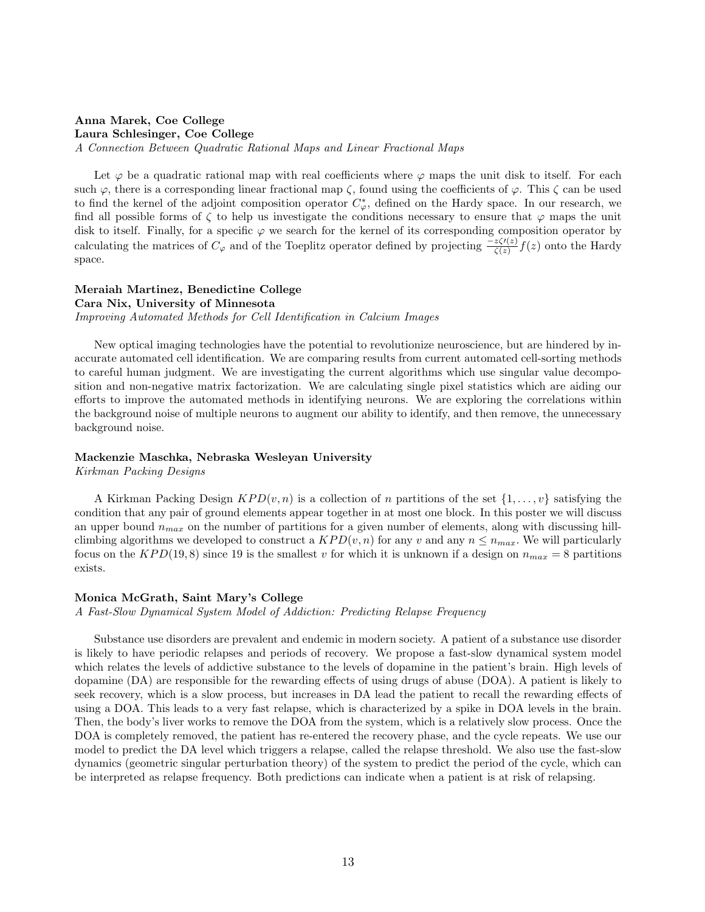# Anna Marek, Coe College Laura Schlesinger, Coe College

A Connection Between Quadratic Rational Maps and Linear Fractional Maps

Let  $\varphi$  be a quadratic rational map with real coefficients where  $\varphi$  maps the unit disk to itself. For each such  $\varphi$ , there is a corresponding linear fractional map  $\zeta$ , found using the coefficients of  $\varphi$ . This  $\zeta$  can be used to find the kernel of the adjoint composition operator  $C^*_{\varphi}$ , defined on the Hardy space. In our research, we find all possible forms of  $\zeta$  to help us investigate the conditions necessary to ensure that  $\varphi$  maps the unit disk to itself. Finally, for a specific  $\varphi$  we search for the kernel of its corresponding composition operator by calculating the matrices of  $C_\varphi$  and of the Toeplitz operator defined by projecting  $\frac{-z\zeta'(z)}{\zeta(z)}f(z)$  onto the Hardy space.

# Meraiah Martinez, Benedictine College

Cara Nix, University of Minnesota

Improving Automated Methods for Cell Identification in Calcium Images

New optical imaging technologies have the potential to revolutionize neuroscience, but are hindered by inaccurate automated cell identification. We are comparing results from current automated cell-sorting methods to careful human judgment. We are investigating the current algorithms which use singular value decomposition and non-negative matrix factorization. We are calculating single pixel statistics which are aiding our efforts to improve the automated methods in identifying neurons. We are exploring the correlations within the background noise of multiple neurons to augment our ability to identify, and then remove, the unnecessary background noise.

#### Mackenzie Maschka, Nebraska Wesleyan University

Kirkman Packing Designs

A Kirkman Packing Design  $KPD(v, n)$  is a collection of n partitions of the set  $\{1, \ldots, v\}$  satisfying the condition that any pair of ground elements appear together in at most one block. In this poster we will discuss an upper bound  $n_{max}$  on the number of partitions for a given number of elements, along with discussing hillclimbing algorithms we developed to construct a  $KPD(v, n)$  for any v and any  $n \leq n_{max}$ . We will particularly focus on the  $KPD(19,8)$  since 19 is the smallest v for which it is unknown if a design on  $n_{max} = 8$  partitions exists.

#### Monica McGrath, Saint Mary's College

A Fast-Slow Dynamical System Model of Addiction: Predicting Relapse Frequency

Substance use disorders are prevalent and endemic in modern society. A patient of a substance use disorder is likely to have periodic relapses and periods of recovery. We propose a fast-slow dynamical system model which relates the levels of addictive substance to the levels of dopamine in the patient's brain. High levels of dopamine (DA) are responsible for the rewarding effects of using drugs of abuse (DOA). A patient is likely to seek recovery, which is a slow process, but increases in DA lead the patient to recall the rewarding effects of using a DOA. This leads to a very fast relapse, which is characterized by a spike in DOA levels in the brain. Then, the body's liver works to remove the DOA from the system, which is a relatively slow process. Once the DOA is completely removed, the patient has re-entered the recovery phase, and the cycle repeats. We use our model to predict the DA level which triggers a relapse, called the relapse threshold. We also use the fast-slow dynamics (geometric singular perturbation theory) of the system to predict the period of the cycle, which can be interpreted as relapse frequency. Both predictions can indicate when a patient is at risk of relapsing.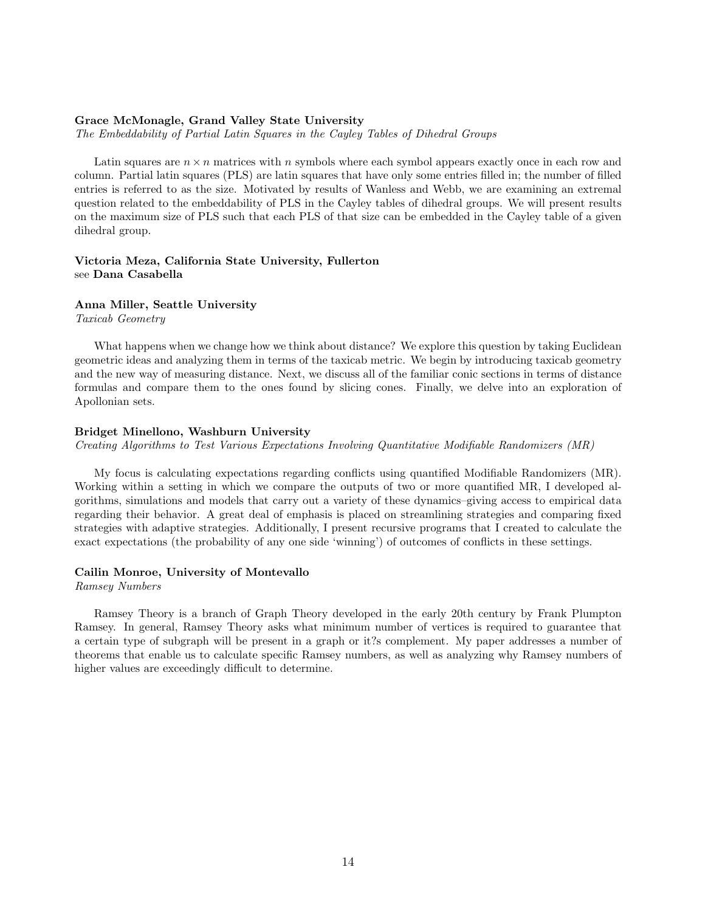# Grace McMonagle, Grand Valley State University

The Embeddability of Partial Latin Squares in the Cayley Tables of Dihedral Groups

Latin squares are  $n \times n$  matrices with n symbols where each symbol appears exactly once in each row and column. Partial latin squares (PLS) are latin squares that have only some entries filled in; the number of filled entries is referred to as the size. Motivated by results of Wanless and Webb, we are examining an extremal question related to the embeddability of PLS in the Cayley tables of dihedral groups. We will present results on the maximum size of PLS such that each PLS of that size can be embedded in the Cayley table of a given dihedral group.

# Victoria Meza, California State University, Fullerton see Dana Casabella

#### Anna Miller, Seattle University

Taxicab Geometry

What happens when we change how we think about distance? We explore this question by taking Euclidean geometric ideas and analyzing them in terms of the taxicab metric. We begin by introducing taxicab geometry and the new way of measuring distance. Next, we discuss all of the familiar conic sections in terms of distance formulas and compare them to the ones found by slicing cones. Finally, we delve into an exploration of Apollonian sets.

# Bridget Minellono, Washburn University

Creating Algorithms to Test Various Expectations Involving Quantitative Modifiable Randomizers (MR)

My focus is calculating expectations regarding conflicts using quantified Modifiable Randomizers (MR). Working within a setting in which we compare the outputs of two or more quantified MR, I developed algorithms, simulations and models that carry out a variety of these dynamics–giving access to empirical data regarding their behavior. A great deal of emphasis is placed on streamlining strategies and comparing fixed strategies with adaptive strategies. Additionally, I present recursive programs that I created to calculate the exact expectations (the probability of any one side 'winning') of outcomes of conflicts in these settings.

# Cailin Monroe, University of Montevallo

Ramsey Numbers

Ramsey Theory is a branch of Graph Theory developed in the early 20th century by Frank Plumpton Ramsey. In general, Ramsey Theory asks what minimum number of vertices is required to guarantee that a certain type of subgraph will be present in a graph or it?s complement. My paper addresses a number of theorems that enable us to calculate specific Ramsey numbers, as well as analyzing why Ramsey numbers of higher values are exceedingly difficult to determine.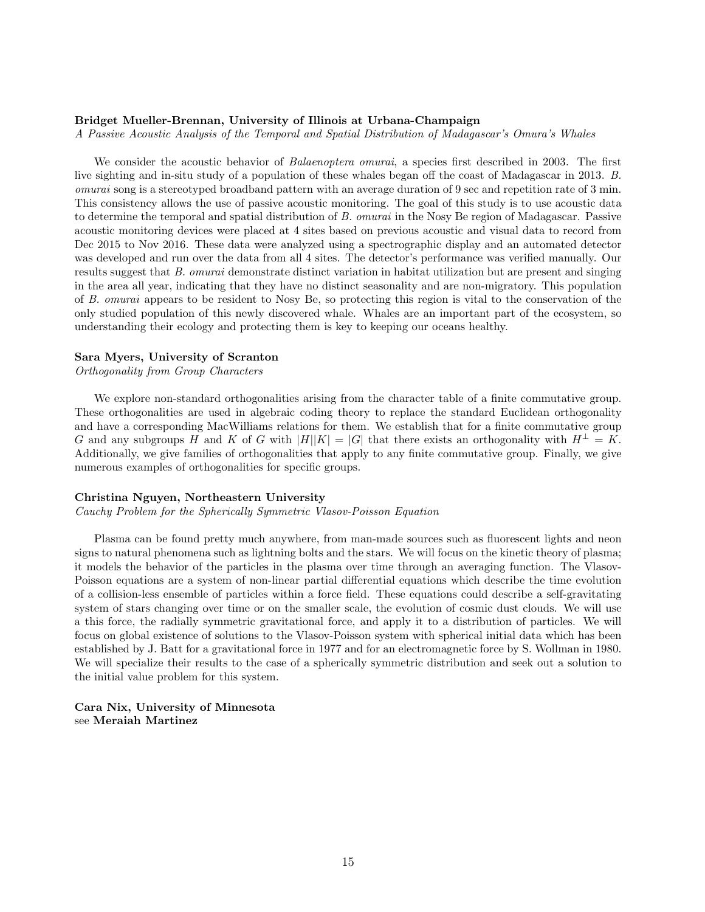#### Bridget Mueller-Brennan, University of Illinois at Urbana-Champaign

A Passive Acoustic Analysis of the Temporal and Spatial Distribution of Madagascar's Omura's Whales

We consider the acoustic behavior of *Balaenoptera omurai*, a species first described in 2003. The first live sighting and in-situ study of a population of these whales began off the coast of Madagascar in 2013. B. omurai song is a stereotyped broadband pattern with an average duration of 9 sec and repetition rate of 3 min. This consistency allows the use of passive acoustic monitoring. The goal of this study is to use acoustic data to determine the temporal and spatial distribution of B. omurai in the Nosy Be region of Madagascar. Passive acoustic monitoring devices were placed at 4 sites based on previous acoustic and visual data to record from Dec 2015 to Nov 2016. These data were analyzed using a spectrographic display and an automated detector was developed and run over the data from all 4 sites. The detector's performance was verified manually. Our results suggest that B. omurai demonstrate distinct variation in habitat utilization but are present and singing in the area all year, indicating that they have no distinct seasonality and are non-migratory. This population of B. omurai appears to be resident to Nosy Be, so protecting this region is vital to the conservation of the only studied population of this newly discovered whale. Whales are an important part of the ecosystem, so understanding their ecology and protecting them is key to keeping our oceans healthy.

#### Sara Myers, University of Scranton

# Orthogonality from Group Characters

We explore non-standard orthogonalities arising from the character table of a finite commutative group. These orthogonalities are used in algebraic coding theory to replace the standard Euclidean orthogonality and have a corresponding MacWilliams relations for them. We establish that for a finite commutative group G and any subgroups H and K of G with  $|H||K| = |G|$  that there exists an orthogonality with  $H^{\perp} = K$ . Additionally, we give families of orthogonalities that apply to any finite commutative group. Finally, we give numerous examples of orthogonalities for specific groups.

#### Christina Nguyen, Northeastern University

Cauchy Problem for the Spherically Symmetric Vlasov-Poisson Equation

Plasma can be found pretty much anywhere, from man-made sources such as fluorescent lights and neon signs to natural phenomena such as lightning bolts and the stars. We will focus on the kinetic theory of plasma; it models the behavior of the particles in the plasma over time through an averaging function. The Vlasov-Poisson equations are a system of non-linear partial differential equations which describe the time evolution of a collision-less ensemble of particles within a force field. These equations could describe a self-gravitating system of stars changing over time or on the smaller scale, the evolution of cosmic dust clouds. We will use a this force, the radially symmetric gravitational force, and apply it to a distribution of particles. We will focus on global existence of solutions to the Vlasov-Poisson system with spherical initial data which has been established by J. Batt for a gravitational force in 1977 and for an electromagnetic force by S. Wollman in 1980. We will specialize their results to the case of a spherically symmetric distribution and seek out a solution to the initial value problem for this system.

Cara Nix, University of Minnesota see Meraiah Martinez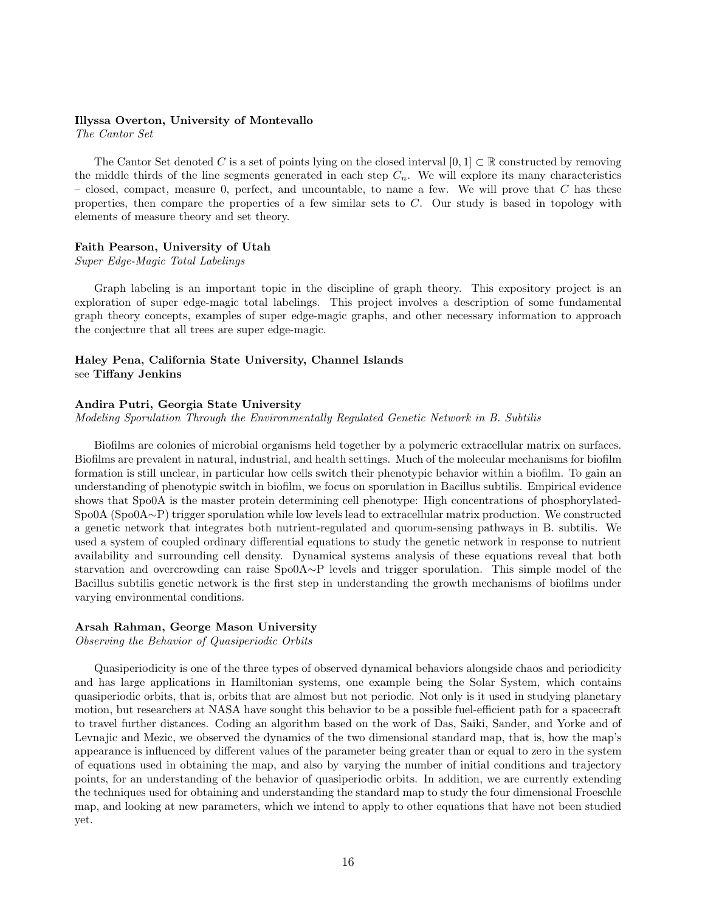#### Illyssa Overton, University of Montevallo

The Cantor Set

The Cantor Set denoted C is a set of points lying on the closed interval  $[0, 1] \subset \mathbb{R}$  constructed by removing the middle thirds of the line segments generated in each step  $C_n$ . We will explore its many characteristics – closed, compact, measure 0, perfect, and uncountable, to name a few. We will prove that  $C$  has these properties, then compare the properties of a few similar sets to  $C$ . Our study is based in topology with elements of measure theory and set theory.

# Faith Pearson, University of Utah

Super Edge-Magic Total Labelings

Graph labeling is an important topic in the discipline of graph theory. This expository project is an exploration of super edge-magic total labelings. This project involves a description of some fundamental graph theory concepts, examples of super edge-magic graphs, and other necessary information to approach the conjecture that all trees are super edge-magic.

# Haley Pena, California State University, Channel Islands see Tiffany Jenkins

# Andira Putri, Georgia State University

Modeling Sporulation Through the Environmentally Regulated Genetic Network in B. Subtilis

Biofilms are colonies of microbial organisms held together by a polymeric extracellular matrix on surfaces. Biofilms are prevalent in natural, industrial, and health settings. Much of the molecular mechanisms for biofilm formation is still unclear, in particular how cells switch their phenotypic behavior within a biofilm. To gain an understanding of phenotypic switch in biofilm, we focus on sporulation in Bacillus subtilis. Empirical evidence shows that Spo0A is the master protein determining cell phenotype: High concentrations of phosphorylated-Spo0A (Spo0A∼P) trigger sporulation while low levels lead to extracellular matrix production. We constructed a genetic network that integrates both nutrient-regulated and quorum-sensing pathways in B. subtilis. We used a system of coupled ordinary differential equations to study the genetic network in response to nutrient availability and surrounding cell density. Dynamical systems analysis of these equations reveal that both starvation and overcrowding can raise Spo0A∼P levels and trigger sporulation. This simple model of the Bacillus subtilis genetic network is the first step in understanding the growth mechanisms of biofilms under varying environmental conditions.

# Arsah Rahman, George Mason University

Observing the Behavior of Quasiperiodic Orbits

Quasiperiodicity is one of the three types of observed dynamical behaviors alongside chaos and periodicity and has large applications in Hamiltonian systems, one example being the Solar System, which contains quasiperiodic orbits, that is, orbits that are almost but not periodic. Not only is it used in studying planetary motion, but researchers at NASA have sought this behavior to be a possible fuel-efficient path for a spacecraft to travel further distances. Coding an algorithm based on the work of Das, Saiki, Sander, and Yorke and of Levnajic and Mezic, we observed the dynamics of the two dimensional standard map, that is, how the map's appearance is influenced by different values of the parameter being greater than or equal to zero in the system of equations used in obtaining the map, and also by varying the number of initial conditions and trajectory points, for an understanding of the behavior of quasiperiodic orbits. In addition, we are currently extending the techniques used for obtaining and understanding the standard map to study the four dimensional Froeschle map, and looking at new parameters, which we intend to apply to other equations that have not been studied yet.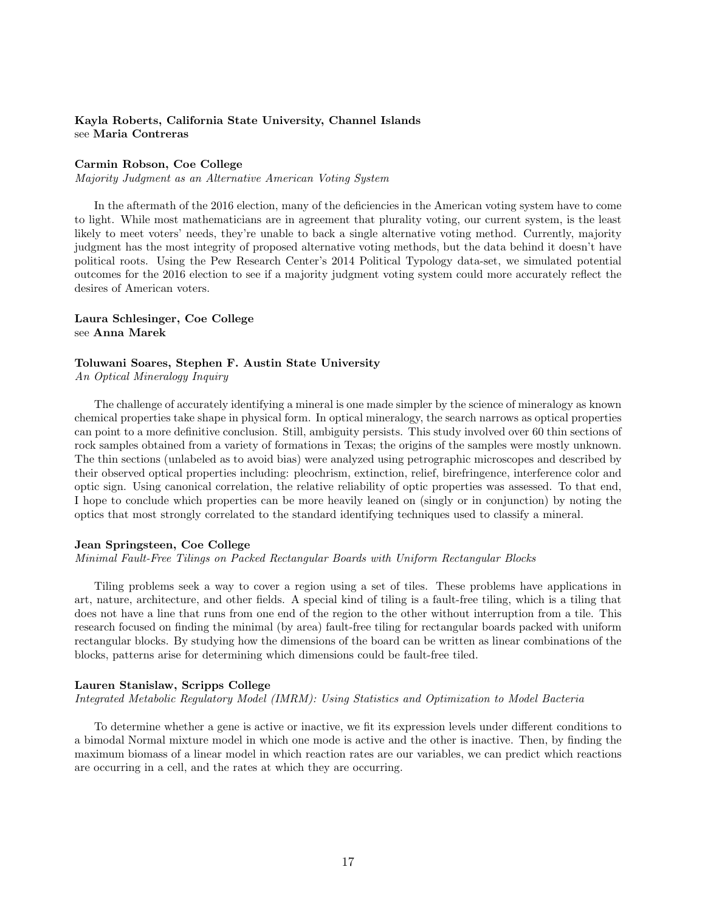# Kayla Roberts, California State University, Channel Islands see Maria Contreras

# Carmin Robson, Coe College

Majority Judgment as an Alternative American Voting System

In the aftermath of the 2016 election, many of the deficiencies in the American voting system have to come to light. While most mathematicians are in agreement that plurality voting, our current system, is the least likely to meet voters' needs, they're unable to back a single alternative voting method. Currently, majority judgment has the most integrity of proposed alternative voting methods, but the data behind it doesn't have political roots. Using the Pew Research Center's 2014 Political Typology data-set, we simulated potential outcomes for the 2016 election to see if a majority judgment voting system could more accurately reflect the desires of American voters.

# Laura Schlesinger, Coe College see Anna Marek

# Toluwani Soares, Stephen F. Austin State University

An Optical Mineralogy Inquiry

The challenge of accurately identifying a mineral is one made simpler by the science of mineralogy as known chemical properties take shape in physical form. In optical mineralogy, the search narrows as optical properties can point to a more definitive conclusion. Still, ambiguity persists. This study involved over 60 thin sections of rock samples obtained from a variety of formations in Texas; the origins of the samples were mostly unknown. The thin sections (unlabeled as to avoid bias) were analyzed using petrographic microscopes and described by their observed optical properties including: pleochrism, extinction, relief, birefringence, interference color and optic sign. Using canonical correlation, the relative reliability of optic properties was assessed. To that end, I hope to conclude which properties can be more heavily leaned on (singly or in conjunction) by noting the optics that most strongly correlated to the standard identifying techniques used to classify a mineral.

# Jean Springsteen, Coe College

Minimal Fault-Free Tilings on Packed Rectangular Boards with Uniform Rectangular Blocks

Tiling problems seek a way to cover a region using a set of tiles. These problems have applications in art, nature, architecture, and other fields. A special kind of tiling is a fault-free tiling, which is a tiling that does not have a line that runs from one end of the region to the other without interruption from a tile. This research focused on finding the minimal (by area) fault-free tiling for rectangular boards packed with uniform rectangular blocks. By studying how the dimensions of the board can be written as linear combinations of the blocks, patterns arise for determining which dimensions could be fault-free tiled.

# Lauren Stanislaw, Scripps College

Integrated Metabolic Regulatory Model (IMRM): Using Statistics and Optimization to Model Bacteria

To determine whether a gene is active or inactive, we fit its expression levels under different conditions to a bimodal Normal mixture model in which one mode is active and the other is inactive. Then, by finding the maximum biomass of a linear model in which reaction rates are our variables, we can predict which reactions are occurring in a cell, and the rates at which they are occurring.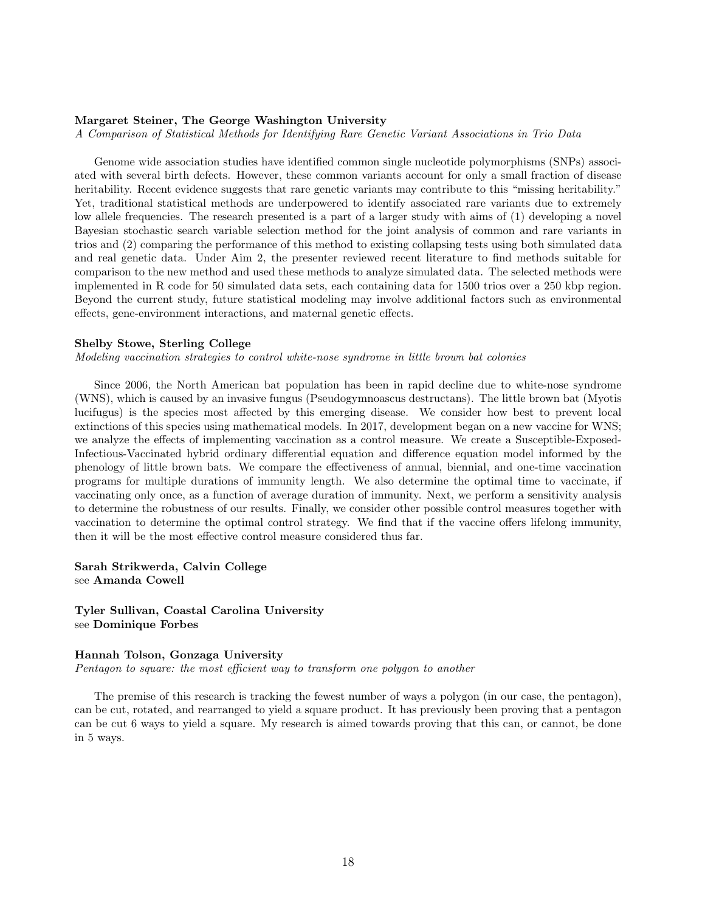# Margaret Steiner, The George Washington University

A Comparison of Statistical Methods for Identifying Rare Genetic Variant Associations in Trio Data

Genome wide association studies have identified common single nucleotide polymorphisms (SNPs) associated with several birth defects. However, these common variants account for only a small fraction of disease heritability. Recent evidence suggests that rare genetic variants may contribute to this "missing heritability." Yet, traditional statistical methods are underpowered to identify associated rare variants due to extremely low allele frequencies. The research presented is a part of a larger study with aims of (1) developing a novel Bayesian stochastic search variable selection method for the joint analysis of common and rare variants in trios and (2) comparing the performance of this method to existing collapsing tests using both simulated data and real genetic data. Under Aim 2, the presenter reviewed recent literature to find methods suitable for comparison to the new method and used these methods to analyze simulated data. The selected methods were implemented in R code for 50 simulated data sets, each containing data for 1500 trios over a 250 kbp region. Beyond the current study, future statistical modeling may involve additional factors such as environmental effects, gene-environment interactions, and maternal genetic effects.

# Shelby Stowe, Sterling College

Modeling vaccination strategies to control white-nose syndrome in little brown bat colonies

Since 2006, the North American bat population has been in rapid decline due to white-nose syndrome (WNS), which is caused by an invasive fungus (Pseudogymnoascus destructans). The little brown bat (Myotis lucifugus) is the species most affected by this emerging disease. We consider how best to prevent local extinctions of this species using mathematical models. In 2017, development began on a new vaccine for WNS; we analyze the effects of implementing vaccination as a control measure. We create a Susceptible-Exposed-Infectious-Vaccinated hybrid ordinary differential equation and difference equation model informed by the phenology of little brown bats. We compare the effectiveness of annual, biennial, and one-time vaccination programs for multiple durations of immunity length. We also determine the optimal time to vaccinate, if vaccinating only once, as a function of average duration of immunity. Next, we perform a sensitivity analysis to determine the robustness of our results. Finally, we consider other possible control measures together with vaccination to determine the optimal control strategy. We find that if the vaccine offers lifelong immunity, then it will be the most effective control measure considered thus far.

Sarah Strikwerda, Calvin College see Amanda Cowell

Tyler Sullivan, Coastal Carolina University see Dominique Forbes

#### Hannah Tolson, Gonzaga University

Pentagon to square: the most efficient way to transform one polygon to another

The premise of this research is tracking the fewest number of ways a polygon (in our case, the pentagon), can be cut, rotated, and rearranged to yield a square product. It has previously been proving that a pentagon can be cut 6 ways to yield a square. My research is aimed towards proving that this can, or cannot, be done in 5 ways.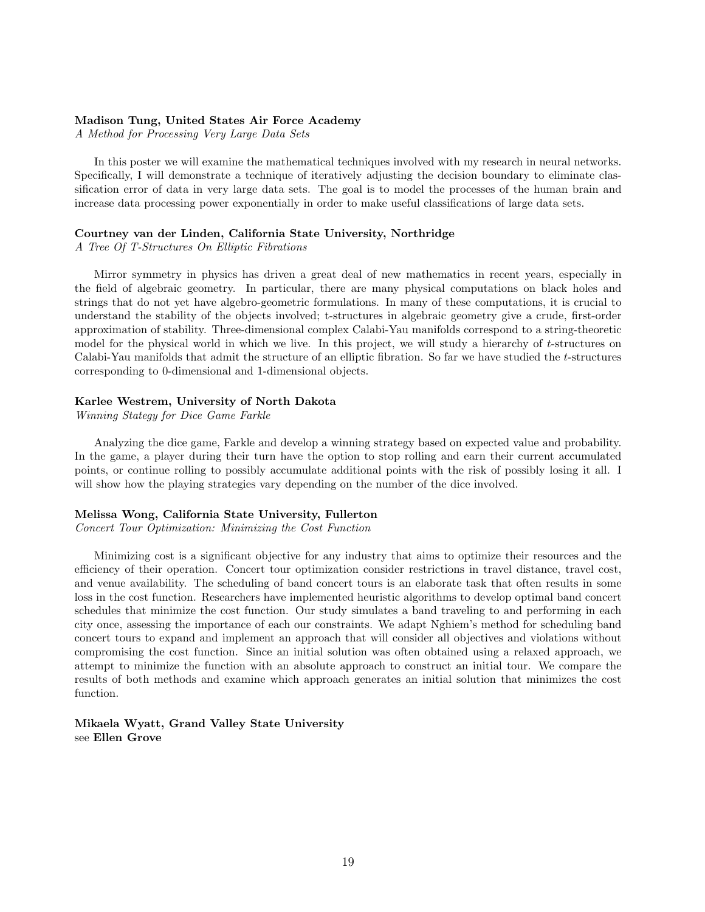# Madison Tung, United States Air Force Academy

A Method for Processing Very Large Data Sets

In this poster we will examine the mathematical techniques involved with my research in neural networks. Specifically, I will demonstrate a technique of iteratively adjusting the decision boundary to eliminate classification error of data in very large data sets. The goal is to model the processes of the human brain and increase data processing power exponentially in order to make useful classifications of large data sets.

# Courtney van der Linden, California State University, Northridge

A Tree Of T-Structures On Elliptic Fibrations

Mirror symmetry in physics has driven a great deal of new mathematics in recent years, especially in the field of algebraic geometry. In particular, there are many physical computations on black holes and strings that do not yet have algebro-geometric formulations. In many of these computations, it is crucial to understand the stability of the objects involved; t-structures in algebraic geometry give a crude, first-order approximation of stability. Three-dimensional complex Calabi-Yau manifolds correspond to a string-theoretic model for the physical world in which we live. In this project, we will study a hierarchy of t-structures on Calabi-Yau manifolds that admit the structure of an elliptic fibration. So far we have studied the t-structures corresponding to 0-dimensional and 1-dimensional objects.

### Karlee Westrem, University of North Dakota

Winning Stategy for Dice Game Farkle

Analyzing the dice game, Farkle and develop a winning strategy based on expected value and probability. In the game, a player during their turn have the option to stop rolling and earn their current accumulated points, or continue rolling to possibly accumulate additional points with the risk of possibly losing it all. I will show how the playing strategies vary depending on the number of the dice involved.

# Melissa Wong, California State University, Fullerton

Concert Tour Optimization: Minimizing the Cost Function

Minimizing cost is a significant objective for any industry that aims to optimize their resources and the efficiency of their operation. Concert tour optimization consider restrictions in travel distance, travel cost, and venue availability. The scheduling of band concert tours is an elaborate task that often results in some loss in the cost function. Researchers have implemented heuristic algorithms to develop optimal band concert schedules that minimize the cost function. Our study simulates a band traveling to and performing in each city once, assessing the importance of each our constraints. We adapt Nghiem's method for scheduling band concert tours to expand and implement an approach that will consider all objectives and violations without compromising the cost function. Since an initial solution was often obtained using a relaxed approach, we attempt to minimize the function with an absolute approach to construct an initial tour. We compare the results of both methods and examine which approach generates an initial solution that minimizes the cost function.

Mikaela Wyatt, Grand Valley State University see Ellen Grove